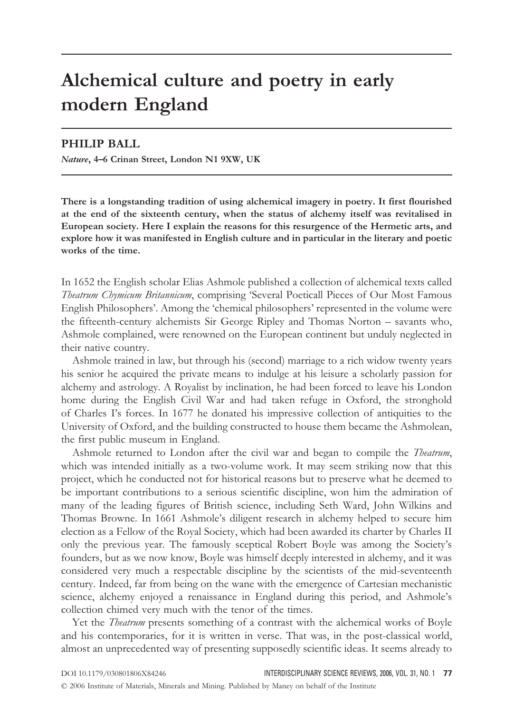# **Alchemical culture and poetry in early modern England**

## **PHILIP BALL**

*Nature***, 4–6 Crinan Street, London N1 9XW, UK**

**There is a longstanding tradition of using alchemical imagery in poetry. It first flourished at the end of the sixteenth century, when the status of alchemy itself was revitalised in European society. Here I explain the reasons for this resurgence of the Hermetic arts, and explore how it was manifested in English culture and in particular in the literary and poetic works of the time.**

In 1652 the English scholar Elias Ashmole published a collection of alchemical texts called *Theatrum Chymicum Britannicum*, comprising 'Several Poeticall Pieces of Our Most Famous English Philosophers'. Among the 'chemical philosophers' represented in the volume were the fifteenth-century alchemists Sir George Ripley and Thomas Norton – savants who, Ashmole complained, were renowned on the European continent but unduly neglected in their native country.

Ashmole trained in law, but through his (second) marriage to a rich widow twenty years his senior he acquired the private means to indulge at his leisure a scholarly passion for alchemy and astrology. A Royalist by inclination, he had been forced to leave his London home during the English Civil War and had taken refuge in Oxford, the stronghold of Charles I's forces. In 1677 he donated his impressive collection of antiquities to the University of Oxford, and the building constructed to house them became the Ashmolean, the first public museum in England.

Ashmole returned to London after the civil war and began to compile the *Theatrum*, which was intended initially as a two-volume work. It may seem striking now that this project, which he conducted not for historical reasons but to preserve what he deemed to be important contributions to a serious scientific discipline, won him the admiration of many of the leading figures of British science, including Seth Ward, John Wilkins and Thomas Browne. In 1661 Ashmole's diligent research in alchemy helped to secure him election as a Fellow of the Royal Society, which had been awarded its charter by Charles II only the previous year. The famously sceptical Robert Boyle was among the Society's founders, but as we now know, Boyle was himself deeply interested in alchemy, and it was considered very much a respectable discipline by the scientists of the mid-seventeenth century. Indeed, far from being on the wane with the emergence of Cartesian mechanistic science, alchemy enjoyed a renaissance in England during this period, and Ashmole's collection chimed very much with the tenor of the times.

Yet the *Theatrum* presents something of a contrast with the alchemical works of Boyle and his contemporaries, for it is written in verse. That was, in the post-classical world, almost an unprecedented way of presenting supposedly scientific ideas. It seems already to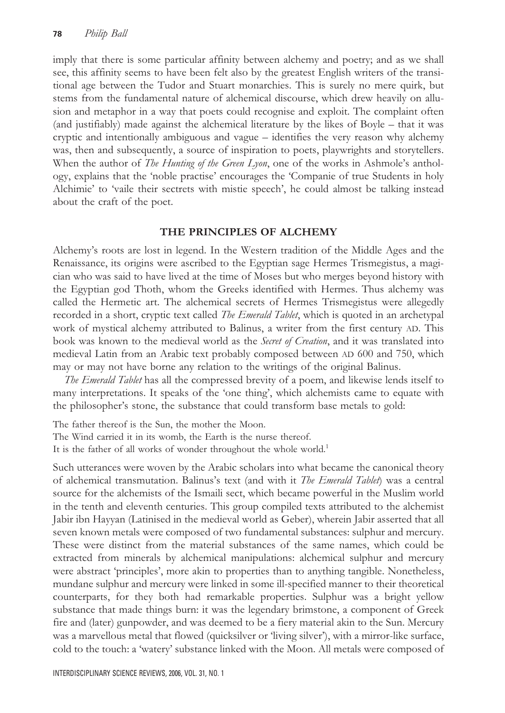imply that there is some particular affinity between alchemy and poetry; and as we shall see, this affinity seems to have been felt also by the greatest English writers of the transitional age between the Tudor and Stuart monarchies. This is surely no mere quirk, but stems from the fundamental nature of alchemical discourse, which drew heavily on allusion and metaphor in a way that poets could recognise and exploit. The complaint often (and justifiably) made against the alchemical literature by the likes of Boyle – that it was cryptic and intentionally ambiguous and vague – identifies the very reason why alchemy was, then and subsequently, a source of inspiration to poets, playwrights and storytellers. When the author of *The Hunting of the Green Lyon*, one of the works in Ashmole's anthology, explains that the 'noble practise' encourages the 'Companie of true Students in holy Alchimie' to 'vaile their sectrets with mistie speech', he could almost be talking instead about the craft of the poet.

## **THE PRINCIPLES OF ALCHEMY**

Alchemy's roots are lost in legend. In the Western tradition of the Middle Ages and the Renaissance, its origins were ascribed to the Egyptian sage Hermes Trismegistus, a magician who was said to have lived at the time of Moses but who merges beyond history with the Egyptian god Thoth, whom the Greeks identified with Hermes. Thus alchemy was called the Hermetic art. The alchemical secrets of Hermes Trismegistus were allegedly recorded in a short, cryptic text called *The Emerald Tablet*, which is quoted in an archetypal work of mystical alchemy attributed to Balinus, a writer from the first century AD. This book was known to the medieval world as the *Secret of Creation*, and it was translated into medieval Latin from an Arabic text probably composed between AD 600 and 750, which may or may not have borne any relation to the writings of the original Balinus.

*The Emerald Tablet* has all the compressed brevity of a poem, and likewise lends itself to many interpretations. It speaks of the 'one thing', which alchemists came to equate with the philosopher's stone, the substance that could transform base metals to gold:

The father thereof is the Sun, the mother the Moon. The Wind carried it in its womb, the Earth is the nurse thereof. It is the father of all works of wonder throughout the whole world.<sup>1</sup>

Such utterances were woven by the Arabic scholars into what became the canonical theory of alchemical transmutation. Balinus's text (and with it *The Emerald Tablet*) was a central source for the alchemists of the Ismaili sect, which became powerful in the Muslim world in the tenth and eleventh centuries. This group compiled texts attributed to the alchemist Jabir ibn Hayyan (Latinised in the medieval world as Geber), wherein Jabir asserted that all seven known metals were composed of two fundamental substances: sulphur and mercury. These were distinct from the material substances of the same names, which could be extracted from minerals by alchemical manipulations: alchemical sulphur and mercury were abstract 'principles', more akin to properties than to anything tangible. Nonetheless, mundane sulphur and mercury were linked in some ill-specified manner to their theoretical counterparts, for they both had remarkable properties. Sulphur was a bright yellow substance that made things burn: it was the legendary brimstone, a component of Greek fire and (later) gunpowder, and was deemed to be a fiery material akin to the Sun. Mercury was a marvellous metal that flowed (quicksilver or 'living silver'), with a mirror-like surface, cold to the touch: a 'watery' substance linked with the Moon. All metals were composed of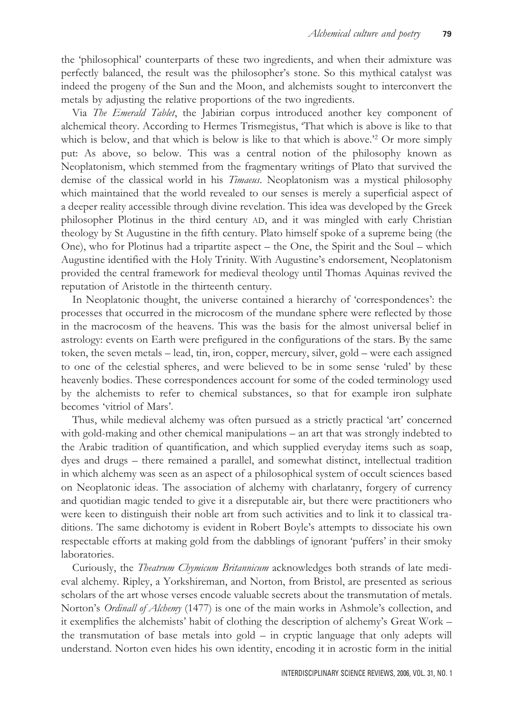the 'philosophical' counterparts of these two ingredients, and when their admixture was perfectly balanced, the result was the philosopher's stone. So this mythical catalyst was indeed the progeny of the Sun and the Moon, and alchemists sought to interconvert the metals by adjusting the relative proportions of the two ingredients.

Via *The Emerald Tablet*, the Jabirian corpus introduced another key component of alchemical theory. According to Hermes Trismegistus, 'That which is above is like to that which is below, and that which is below is like to that which is above.<sup>22</sup> Or more simply put: As above, so below. This was a central notion of the philosophy known as Neoplatonism, which stemmed from the fragmentary writings of Plato that survived the demise of the classical world in his *Timaeus*. Neoplatonism was a mystical philosophy which maintained that the world revealed to our senses is merely a superficial aspect of a deeper reality accessible through divine revelation. This idea was developed by the Greek philosopher Plotinus in the third century AD, and it was mingled with early Christian theology by St Augustine in the fifth century. Plato himself spoke of a supreme being (the One), who for Plotinus had a tripartite aspect – the One, the Spirit and the Soul – which Augustine identified with the Holy Trinity. With Augustine's endorsement, Neoplatonism provided the central framework for medieval theology until Thomas Aquinas revived the reputation of Aristotle in the thirteenth century.

In Neoplatonic thought, the universe contained a hierarchy of 'correspondences': the processes that occurred in the microcosm of the mundane sphere were reflected by those in the macrocosm of the heavens. This was the basis for the almost universal belief in astrology: events on Earth were prefigured in the configurations of the stars. By the same token, the seven metals – lead, tin, iron, copper, mercury, silver, gold – were each assigned to one of the celestial spheres, and were believed to be in some sense 'ruled' by these heavenly bodies. These correspondences account for some of the coded terminology used by the alchemists to refer to chemical substances, so that for example iron sulphate becomes 'vitriol of Mars'.

Thus, while medieval alchemy was often pursued as a strictly practical 'art' concerned with gold-making and other chemical manipulations – an art that was strongly indebted to the Arabic tradition of quantification, and which supplied everyday items such as soap, dyes and drugs – there remained a parallel, and somewhat distinct, intellectual tradition in which alchemy was seen as an aspect of a philosophical system of occult sciences based on Neoplatonic ideas. The association of alchemy with charlatanry, forgery of currency and quotidian magic tended to give it a disreputable air, but there were practitioners who were keen to distinguish their noble art from such activities and to link it to classical traditions. The same dichotomy is evident in Robert Boyle's attempts to dissociate his own respectable efforts at making gold from the dabblings of ignorant 'puffers' in their smoky laboratories.

Curiously, the *Theatrum Chymicum Britannicum* acknowledges both strands of late medieval alchemy. Ripley, a Yorkshireman, and Norton, from Bristol, are presented as serious scholars of the art whose verses encode valuable secrets about the transmutation of metals. Norton's *Ordinall of Alchemy* (1477) is one of the main works in Ashmole's collection, and it exemplifies the alchemists' habit of clothing the description of alchemy's Great Work – the transmutation of base metals into gold – in cryptic language that only adepts will understand. Norton even hides his own identity, encoding it in acrostic form in the initial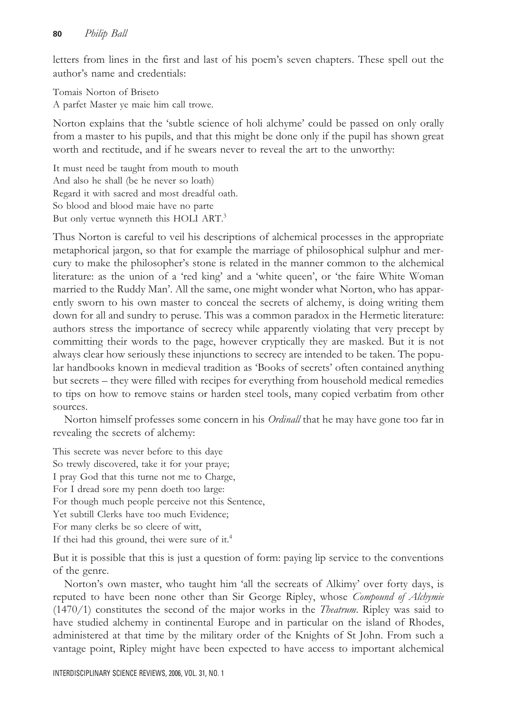letters from lines in the first and last of his poem's seven chapters. These spell out the author's name and credentials:

Tomais Norton of Briseto A parfet Master ye maie him call trowe.

Norton explains that the 'subtle science of holi alchyme' could be passed on only orally from a master to his pupils, and that this might be done only if the pupil has shown great worth and rectitude, and if he swears never to reveal the art to the unworthy:

It must need be taught from mouth to mouth And also he shall (be he never so loath) Regard it with sacred and most dreadful oath. So blood and blood maie have no parte But only vertue wynneth this HOLI ART.3

Thus Norton is careful to veil his descriptions of alchemical processes in the appropriate metaphorical jargon, so that for example the marriage of philosophical sulphur and mercury to make the philosopher's stone is related in the manner common to the alchemical literature: as the union of a 'red king' and a 'white queen', or 'the faire White Woman married to the Ruddy Man'. All the same, one might wonder what Norton, who has apparently sworn to his own master to conceal the secrets of alchemy, is doing writing them down for all and sundry to peruse. This was a common paradox in the Hermetic literature: authors stress the importance of secrecy while apparently violating that very precept by committing their words to the page, however cryptically they are masked. But it is not always clear how seriously these injunctions to secrecy are intended to be taken. The popular handbooks known in medieval tradition as 'Books of secrets' often contained anything but secrets – they were filled with recipes for everything from household medical remedies to tips on how to remove stains or harden steel tools, many copied verbatim from other sources.

Norton himself professes some concern in his *Ordinall* that he may have gone too far in revealing the secrets of alchemy:

This secrete was never before to this daye So trewly discovered, take it for your praye; I pray God that this turne not me to Charge, For I dread sore my penn doeth too large: For though much people perceive not this Sentence, Yet subtill Clerks have too much Evidence; For many clerks be so cleere of witt, If thei had this ground, thei were sure of it.4

But it is possible that this is just a question of form: paying lip service to the conventions of the genre.

Norton's own master, who taught him 'all the secreats of Alkimy' over forty days, is reputed to have been none other than Sir George Ripley, whose *Compound of Alchymie* (1470/1) constitutes the second of the major works in the *Theatrum*. Ripley was said to have studied alchemy in continental Europe and in particular on the island of Rhodes, administered at that time by the military order of the Knights of St John. From such a vantage point, Ripley might have been expected to have access to important alchemical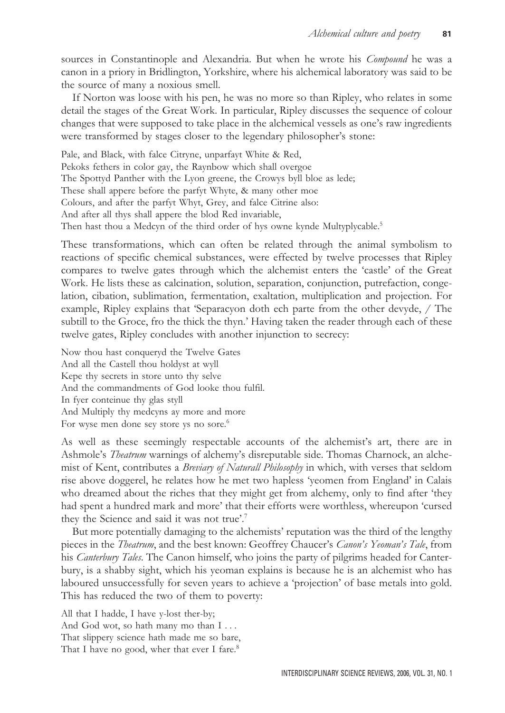sources in Constantinople and Alexandria. But when he wrote his *Compound* he was a canon in a priory in Bridlington, Yorkshire, where his alchemical laboratory was said to be the source of many a noxious smell.

If Norton was loose with his pen, he was no more so than Ripley, who relates in some detail the stages of the Great Work. In particular, Ripley discusses the sequence of colour changes that were supposed to take place in the alchemical vessels as one's raw ingredients were transformed by stages closer to the legendary philosopher's stone:

Pale, and Black, with falce Citryne, unparfayt White & Red, Pekoks fethers in color gay, the Raynbow which shall overgoe The Spottyd Panther with the Lyon greene, the Crowys byll bloe as lede; These shall appere before the parfyt Whyte, & many other moe Colours, and after the parfyt Whyt, Grey, and falce Citrine also: And after all thys shall appere the blod Red invariable, Then hast thou a Medcyn of the third order of hys owne kynde Multyplycable.<sup>5</sup>

These transformations, which can often be related through the animal symbolism to reactions of specific chemical substances, were effected by twelve processes that Ripley compares to twelve gates through which the alchemist enters the 'castle' of the Great Work. He lists these as calcination, solution, separation, conjunction, putrefaction, congelation, cibation, sublimation, fermentation, exaltation, multiplication and projection. For example, Ripley explains that 'Separacyon doth ech parte from the other devyde, / The subtill to the Groce, fro the thick the thyn.' Having taken the reader through each of these twelve gates, Ripley concludes with another injunction to secrecy:

Now thou hast conqueryd the Twelve Gates And all the Castell thou holdyst at wyll Kepe thy secrets in store unto thy selve And the commandments of God looke thou fulfil. In fyer conteinue thy glas styll And Multiply thy medcyns ay more and more For wyse men done sey store ys no sore.<sup>6</sup>

As well as these seemingly respectable accounts of the alchemist's art, there are in Ashmole's *Theatrum* warnings of alchemy's disreputable side. Thomas Charnock, an alchemist of Kent, contributes a *Breviary of Naturall Philosophy* in which, with verses that seldom rise above doggerel, he relates how he met two hapless 'yeomen from England' in Calais who dreamed about the riches that they might get from alchemy, only to find after 'they had spent a hundred mark and more' that their efforts were worthless, whereupon 'cursed they the Science and said it was not true'.7

But more potentially damaging to the alchemists' reputation was the third of the lengthy pieces in the *Theatrum*, and the best known: Geoffrey Chaucer's *Canon's Yeoman's Tale*, from his *Canterbury Tales*. The Canon himself, who joins the party of pilgrims headed for Canterbury, is a shabby sight, which his yeoman explains is because he is an alchemist who has laboured unsuccessfully for seven years to achieve a 'projection' of base metals into gold. This has reduced the two of them to poverty:

All that I hadde, I have y-lost ther-by; And God wot, so hath many mo than I ... That slippery science hath made me so bare, That I have no good, wher that ever I fare.<sup>8</sup>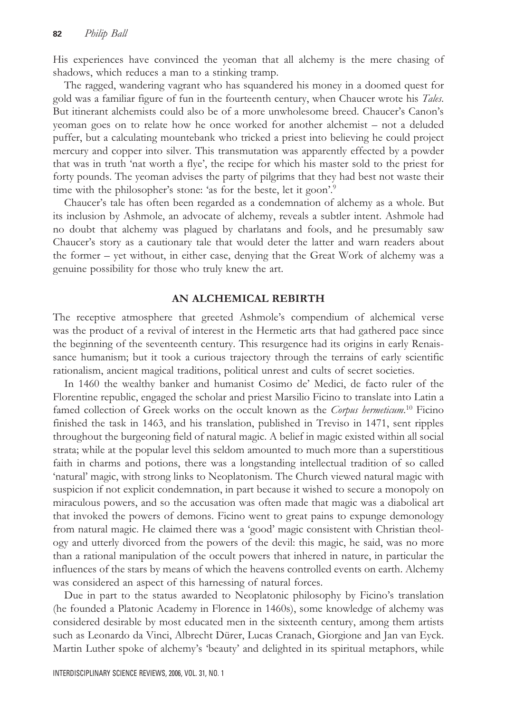His experiences have convinced the yeoman that all alchemy is the mere chasing of shadows, which reduces a man to a stinking tramp.

The ragged, wandering vagrant who has squandered his money in a doomed quest for gold was a familiar figure of fun in the fourteenth century, when Chaucer wrote his *Tales*. But itinerant alchemists could also be of a more unwholesome breed. Chaucer's Canon's yeoman goes on to relate how he once worked for another alchemist – not a deluded puffer, but a calculating mountebank who tricked a priest into believing he could project mercury and copper into silver. This transmutation was apparently effected by a powder that was in truth 'nat worth a flye', the recipe for which his master sold to the priest for forty pounds. The yeoman advises the party of pilgrims that they had best not waste their time with the philosopher's stone: 'as for the beste, let it goon'.<sup>9</sup>

Chaucer's tale has often been regarded as a condemnation of alchemy as a whole. But its inclusion by Ashmole, an advocate of alchemy, reveals a subtler intent. Ashmole had no doubt that alchemy was plagued by charlatans and fools, and he presumably saw Chaucer's story as a cautionary tale that would deter the latter and warn readers about the former – yet without, in either case, denying that the Great Work of alchemy was a genuine possibility for those who truly knew the art.

## **AN ALCHEMICAL REBIRTH**

The receptive atmosphere that greeted Ashmole's compendium of alchemical verse was the product of a revival of interest in the Hermetic arts that had gathered pace since the beginning of the seventeenth century. This resurgence had its origins in early Renaissance humanism; but it took a curious trajectory through the terrains of early scientific rationalism, ancient magical traditions, political unrest and cults of secret societies.

In 1460 the wealthy banker and humanist Cosimo de' Medici, de facto ruler of the Florentine republic, engaged the scholar and priest Marsilio Ficino to translate into Latin a famed collection of Greek works on the occult known as the *Corpus hermeticum*. 10 Ficino finished the task in 1463, and his translation, published in Treviso in 1471, sent ripples throughout the burgeoning field of natural magic. A belief in magic existed within all social strata; while at the popular level this seldom amounted to much more than a superstitious faith in charms and potions, there was a longstanding intellectual tradition of so called 'natural' magic, with strong links to Neoplatonism. The Church viewed natural magic with suspicion if not explicit condemnation, in part because it wished to secure a monopoly on miraculous powers, and so the accusation was often made that magic was a diabolical art that invoked the powers of demons. Ficino went to great pains to expunge demonology from natural magic. He claimed there was a 'good' magic consistent with Christian theology and utterly divorced from the powers of the devil: this magic, he said, was no more than a rational manipulation of the occult powers that inhered in nature, in particular the influences of the stars by means of which the heavens controlled events on earth. Alchemy was considered an aspect of this harnessing of natural forces.

Due in part to the status awarded to Neoplatonic philosophy by Ficino's translation (he founded a Platonic Academy in Florence in 1460s), some knowledge of alchemy was considered desirable by most educated men in the sixteenth century, among them artists such as Leonardo da Vinci, Albrecht Dürer, Lucas Cranach, Giorgione and Jan van Eyck. Martin Luther spoke of alchemy's 'beauty' and delighted in its spiritual metaphors, while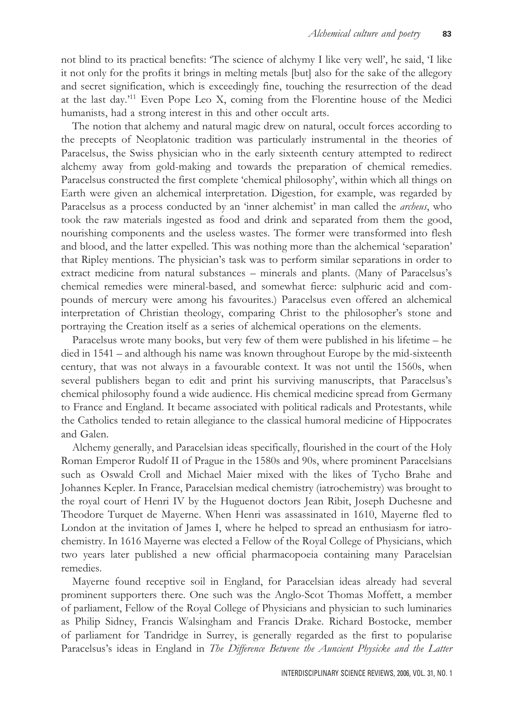not blind to its practical benefits: 'The science of alchymy I like very well', he said, 'I like it not only for the profits it brings in melting metals [but] also for the sake of the allegory and secret signification, which is exceedingly fine, touching the resurrection of the dead at the last day.'11 Even Pope Leo X, coming from the Florentine house of the Medici humanists, had a strong interest in this and other occult arts.

The notion that alchemy and natural magic drew on natural, occult forces according to the precepts of Neoplatonic tradition was particularly instrumental in the theories of Paracelsus, the Swiss physician who in the early sixteenth century attempted to redirect alchemy away from gold-making and towards the preparation of chemical remedies. Paracelsus constructed the first complete 'chemical philosophy', within which all things on Earth were given an alchemical interpretation. Digestion, for example, was regarded by Paracelsus as a process conducted by an 'inner alchemist' in man called the *archeus*, who took the raw materials ingested as food and drink and separated from them the good, nourishing components and the useless wastes. The former were transformed into flesh and blood, and the latter expelled. This was nothing more than the alchemical 'separation' that Ripley mentions. The physician's task was to perform similar separations in order to extract medicine from natural substances – minerals and plants. (Many of Paracelsus's chemical remedies were mineral-based, and somewhat fierce: sulphuric acid and compounds of mercury were among his favourites.) Paracelsus even offered an alchemical interpretation of Christian theology, comparing Christ to the philosopher's stone and portraying the Creation itself as a series of alchemical operations on the elements.

Paracelsus wrote many books, but very few of them were published in his lifetime – he died in 1541 – and although his name was known throughout Europe by the mid-sixteenth century, that was not always in a favourable context. It was not until the 1560s, when several publishers began to edit and print his surviving manuscripts, that Paracelsus's chemical philosophy found a wide audience. His chemical medicine spread from Germany to France and England. It became associated with political radicals and Protestants, while the Catholics tended to retain allegiance to the classical humoral medicine of Hippocrates and Galen.

Alchemy generally, and Paracelsian ideas specifically, flourished in the court of the Holy Roman Emperor Rudolf II of Prague in the 1580s and 90s, where prominent Paracelsians such as Oswald Croll and Michael Maier mixed with the likes of Tycho Brahe and Johannes Kepler. In France, Paracelsian medical chemistry (iatrochemistry) was brought to the royal court of Henri IV by the Huguenot doctors Jean Ribit, Joseph Duchesne and Theodore Turquet de Mayerne. When Henri was assassinated in 1610, Mayerne fled to London at the invitation of James I, where he helped to spread an enthusiasm for iatrochemistry. In 1616 Mayerne was elected a Fellow of the Royal College of Physicians, which two years later published a new official pharmacopoeia containing many Paracelsian remedies.

Mayerne found receptive soil in England, for Paracelsian ideas already had several prominent supporters there. One such was the Anglo-Scot Thomas Moffett, a member of parliament, Fellow of the Royal College of Physicians and physician to such luminaries as Philip Sidney, Francis Walsingham and Francis Drake. Richard Bostocke, member of parliament for Tandridge in Surrey, is generally regarded as the first to popularise Paracelsus's ideas in England in *The Difference Betwene the Auncient Physicke and the Latter*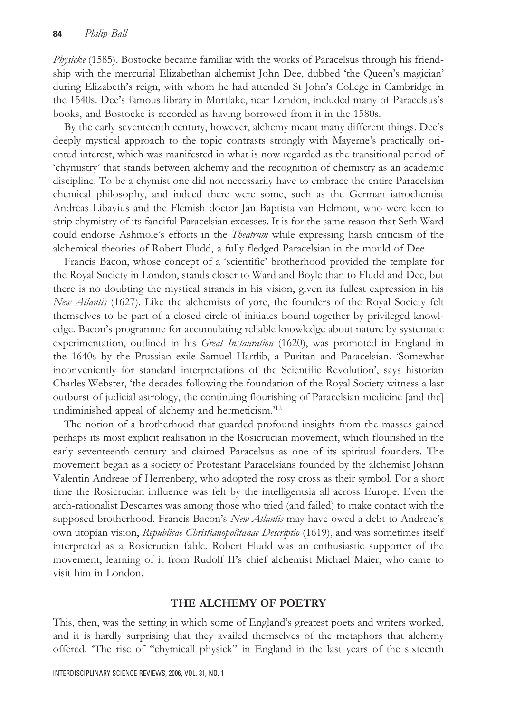*Physicke* (1585). Bostocke became familiar with the works of Paracelsus through his friendship with the mercurial Elizabethan alchemist John Dee, dubbed 'the Queen's magician' during Elizabeth's reign, with whom he had attended St John's College in Cambridge in the 1540s. Dee's famous library in Mortlake, near London, included many of Paracelsus's books, and Bostocke is recorded as having borrowed from it in the 1580s.

By the early seventeenth century, however, alchemy meant many different things. Dee's deeply mystical approach to the topic contrasts strongly with Mayerne's practically oriented interest, which was manifested in what is now regarded as the transitional period of 'chymistry' that stands between alchemy and the recognition of chemistry as an academic discipline. To be a chymist one did not necessarily have to embrace the entire Paracelsian chemical philosophy, and indeed there were some, such as the German iatrochemist Andreas Libavius and the Flemish doctor Jan Baptista van Helmont, who were keen to strip chymistry of its fanciful Paracelsian excesses. It is for the same reason that Seth Ward could endorse Ashmole's efforts in the *Theatrum* while expressing harsh criticism of the alchemical theories of Robert Fludd, a fully fledged Paracelsian in the mould of Dee.

Francis Bacon, whose concept of a 'scientific' brotherhood provided the template for the Royal Society in London, stands closer to Ward and Boyle than to Fludd and Dee, but there is no doubting the mystical strands in his vision, given its fullest expression in his *New Atlantis* (1627). Like the alchemists of yore, the founders of the Royal Society felt themselves to be part of a closed circle of initiates bound together by privileged knowledge. Bacon's programme for accumulating reliable knowledge about nature by systematic experimentation, outlined in his *Great Instauration* (1620), was promoted in England in the 1640s by the Prussian exile Samuel Hartlib, a Puritan and Paracelsian. 'Somewhat inconveniently for standard interpretations of the Scientific Revolution', says historian Charles Webster, 'the decades following the foundation of the Royal Society witness a last outburst of judicial astrology, the continuing flourishing of Paracelsian medicine [and the] undiminished appeal of alchemy and hermeticism.'12

The notion of a brotherhood that guarded profound insights from the masses gained perhaps its most explicit realisation in the Rosicrucian movement, which flourished in the early seventeenth century and claimed Paracelsus as one of its spiritual founders. The movement began as a society of Protestant Paracelsians founded by the alchemist Johann Valentin Andreae of Herrenberg, who adopted the rosy cross as their symbol. For a short time the Rosicrucian influence was felt by the intelligentsia all across Europe. Even the arch-rationalist Descartes was among those who tried (and failed) to make contact with the supposed brotherhood. Francis Bacon's *New Atlantis* may have owed a debt to Andreae's own utopian vision, *Republicae Christianopolitanae Descriptio* (1619), and was sometimes itself interpreted as a Rosicrucian fable. Robert Fludd was an enthusiastic supporter of the movement, learning of it from Rudolf II's chief alchemist Michael Maier, who came to visit him in London.

#### **THE ALCHEMY OF POETRY**

This, then, was the setting in which some of England's greatest poets and writers worked, and it is hardly surprising that they availed themselves of the metaphors that alchemy offered. 'The rise of "chymicall physick" in England in the last years of the sixteenth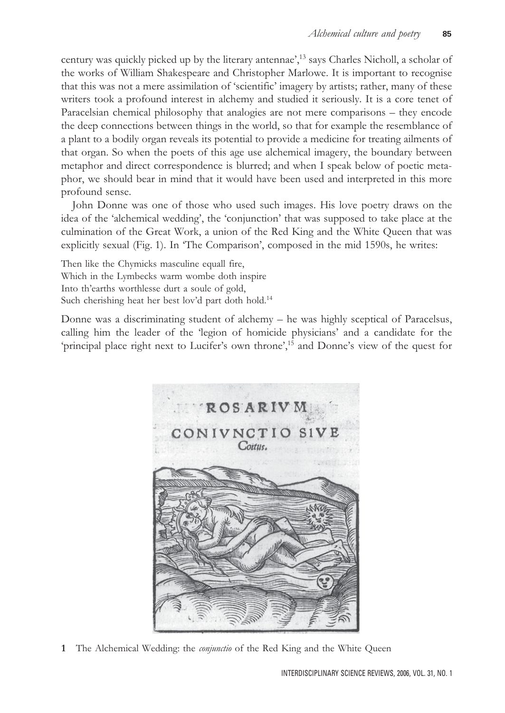century was quickly picked up by the literary antennae',13 says Charles Nicholl, a scholar of the works of William Shakespeare and Christopher Marlowe. It is important to recognise that this was not a mere assimilation of 'scientific' imagery by artists; rather, many of these writers took a profound interest in alchemy and studied it seriously. It is a core tenet of Paracelsian chemical philosophy that analogies are not mere comparisons – they encode the deep connections between things in the world, so that for example the resemblance of a plant to a bodily organ reveals its potential to provide a medicine for treating ailments of that organ. So when the poets of this age use alchemical imagery, the boundary between metaphor and direct correspondence is blurred; and when I speak below of poetic metaphor, we should bear in mind that it would have been used and interpreted in this more profound sense.

John Donne was one of those who used such images. His love poetry draws on the idea of the 'alchemical wedding', the 'conjunction' that was supposed to take place at the culmination of the Great Work, a union of the Red King and the White Queen that was explicitly sexual (Fig. 1). In 'The Comparison', composed in the mid 1590s, he writes:

Then like the Chymicks masculine equall fire, Which in the Lymbecks warm wombe doth inspire Into th'earths worthlesse durt a soule of gold, Such cherishing heat her best lov'd part doth hold.<sup>14</sup>

Donne was a discriminating student of alchemy – he was highly sceptical of Paracelsus, calling him the leader of the 'legion of homicide physicians' and a candidate for the 'principal place right next to Lucifer's own throne',15 and Donne's view of the quest for



**1** The Alchemical Wedding: the *conjunctio* of the Red King and the White Queen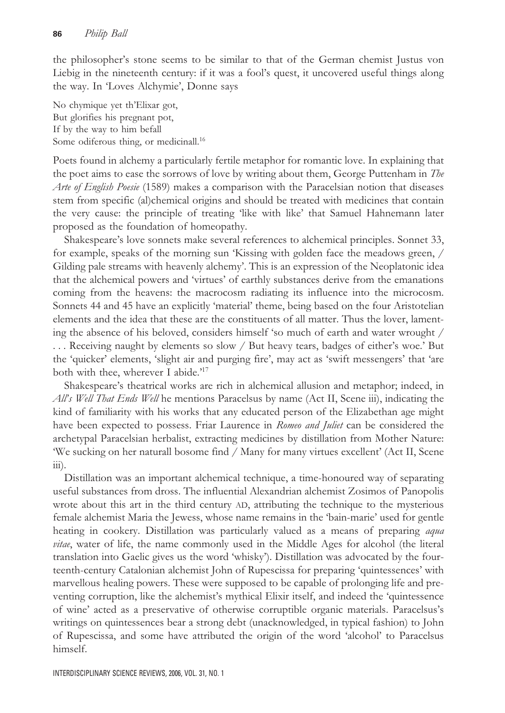the philosopher's stone seems to be similar to that of the German chemist Justus von Liebig in the nineteenth century: if it was a fool's quest, it uncovered useful things along the way. In 'Loves Alchymie', Donne says

No chymique yet th'Elixar got, But glorifies his pregnant pot, If by the way to him befall Some odiferous thing, or medicinall.<sup>16</sup>

Poets found in alchemy a particularly fertile metaphor for romantic love. In explaining that the poet aims to ease the sorrows of love by writing about them, George Puttenham in *The Arte of English Poesie* (1589) makes a comparison with the Paracelsian notion that diseases stem from specific (al)chemical origins and should be treated with medicines that contain the very cause: the principle of treating 'like with like' that Samuel Hahnemann later proposed as the foundation of homeopathy.

Shakespeare's love sonnets make several references to alchemical principles. Sonnet 33, for example, speaks of the morning sun 'Kissing with golden face the meadows green, / Gilding pale streams with heavenly alchemy'. This is an expression of the Neoplatonic idea that the alchemical powers and 'virtues' of earthly substances derive from the emanations coming from the heavens: the macrocosm radiating its influence into the microcosm. Sonnets 44 and 45 have an explicitly 'material' theme, being based on the four Aristotelian elements and the idea that these are the constituents of all matter. Thus the lover, lamenting the absence of his beloved, considers himself 'so much of earth and water wrought / . . . Receiving naught by elements so slow / But heavy tears, badges of either's woe.' But the 'quicker' elements, 'slight air and purging fire', may act as 'swift messengers' that 'are both with thee, wherever I abide.'17

Shakespeare's theatrical works are rich in alchemical allusion and metaphor; indeed, in *All's Well That Ends Well* he mentions Paracelsus by name (Act II, Scene iii), indicating the kind of familiarity with his works that any educated person of the Elizabethan age might have been expected to possess. Friar Laurence in *Romeo and Juliet* can be considered the archetypal Paracelsian herbalist, extracting medicines by distillation from Mother Nature: 'We sucking on her naturall bosome find / Many for many virtues excellent' (Act II, Scene iii).

Distillation was an important alchemical technique, a time-honoured way of separating useful substances from dross. The influential Alexandrian alchemist Zosimos of Panopolis wrote about this art in the third century AD, attributing the technique to the mysterious female alchemist Maria the Jewess, whose name remains in the 'bain-marie' used for gentle heating in cookery. Distillation was particularly valued as a means of preparing *aqua vitae*, water of life, the name commonly used in the Middle Ages for alcohol (the literal translation into Gaelic gives us the word 'whisky'). Distillation was advocated by the fourteenth-century Catalonian alchemist John of Rupescissa for preparing 'quintessences' with marvellous healing powers. These were supposed to be capable of prolonging life and preventing corruption, like the alchemist's mythical Elixir itself, and indeed the 'quintessence of wine' acted as a preservative of otherwise corruptible organic materials. Paracelsus's writings on quintessences bear a strong debt (unacknowledged, in typical fashion) to John of Rupescissa, and some have attributed the origin of the word 'alcohol' to Paracelsus himself.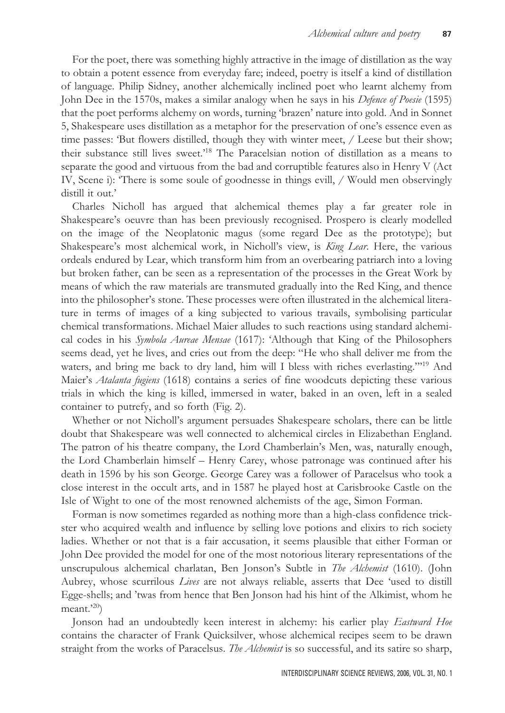For the poet, there was something highly attractive in the image of distillation as the way to obtain a potent essence from everyday fare; indeed, poetry is itself a kind of distillation of language. Philip Sidney, another alchemically inclined poet who learnt alchemy from John Dee in the 1570s, makes a similar analogy when he says in his *Defence of Poesie* (1595) that the poet performs alchemy on words, turning 'brazen' nature into gold. And in Sonnet 5, Shakespeare uses distillation as a metaphor for the preservation of one's essence even as time passes: 'But flowers distilled, though they with winter meet, / Leese but their show; their substance still lives sweet.'18 The Paracelsian notion of distillation as a means to separate the good and virtuous from the bad and corruptible features also in Henry V (Act IV, Scene i): 'There is some soule of goodnesse in things evill, / Would men observingly distill it out.'

Charles Nicholl has argued that alchemical themes play a far greater role in Shakespeare's oeuvre than has been previously recognised. Prospero is clearly modelled on the image of the Neoplatonic magus (some regard Dee as the prototype); but Shakespeare's most alchemical work, in Nicholl's view, is *King Lear*. Here, the various ordeals endured by Lear, which transform him from an overbearing patriarch into a loving but broken father, can be seen as a representation of the processes in the Great Work by means of which the raw materials are transmuted gradually into the Red King, and thence into the philosopher's stone. These processes were often illustrated in the alchemical literature in terms of images of a king subjected to various travails, symbolising particular chemical transformations. Michael Maier alludes to such reactions using standard alchemical codes in his *Symbola Aureae Mensae* (1617): 'Although that King of the Philosophers seems dead, yet he lives, and cries out from the deep: "He who shall deliver me from the waters, and bring me back to dry land, him will I bless with riches everlasting."'19 And Maier's *Atalanta fugiens* (1618) contains a series of fine woodcuts depicting these various trials in which the king is killed, immersed in water, baked in an oven, left in a sealed container to putrefy, and so forth (Fig. 2).

Whether or not Nicholl's argument persuades Shakespeare scholars, there can be little doubt that Shakespeare was well connected to alchemical circles in Elizabethan England. The patron of his theatre company, the Lord Chamberlain's Men, was, naturally enough, the Lord Chamberlain himself – Henry Carey, whose patronage was continued after his death in 1596 by his son George. George Carey was a follower of Paracelsus who took a close interest in the occult arts, and in 1587 he played host at Carisbrooke Castle on the Isle of Wight to one of the most renowned alchemists of the age, Simon Forman.

Forman is now sometimes regarded as nothing more than a high-class confidence trickster who acquired wealth and influence by selling love potions and elixirs to rich society ladies. Whether or not that is a fair accusation, it seems plausible that either Forman or John Dee provided the model for one of the most notorious literary representations of the unscrupulous alchemical charlatan, Ben Jonson's Subtle in *The Alchemist* (1610). (John Aubrey, whose scurrilous *Lives* are not always reliable, asserts that Dee 'used to distill Egge-shells; and 'twas from hence that Ben Jonson had his hint of the Alkimist, whom he meant. $20$ 

Jonson had an undoubtedly keen interest in alchemy: his earlier play *Eastward Hoe* contains the character of Frank Quicksilver, whose alchemical recipes seem to be drawn straight from the works of Paracelsus. *The Alchemist* is so successful, and its satire so sharp,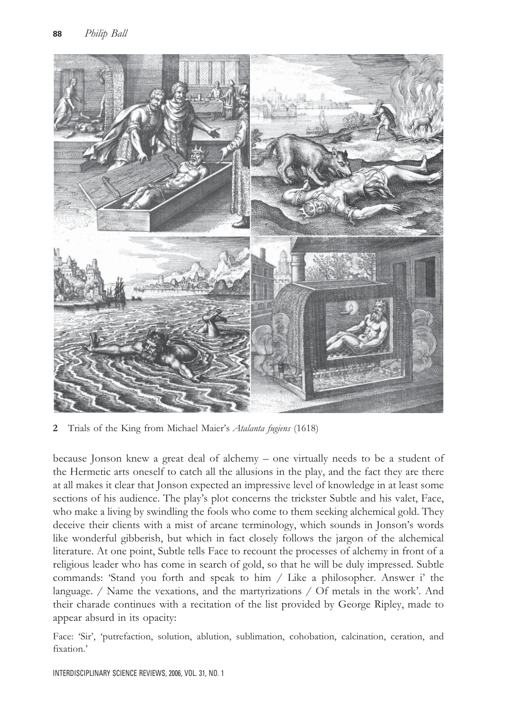

**2** Trials of the King from Michael Maier's *Atalanta fugiens* (1618)

because Jonson knew a great deal of alchemy – one virtually needs to be a student of the Hermetic arts oneself to catch all the allusions in the play, and the fact they are there at all makes it clear that Jonson expected an impressive level of knowledge in at least some sections of his audience. The play's plot concerns the trickster Subtle and his valet, Face, who make a living by swindling the fools who come to them seeking alchemical gold. They deceive their clients with a mist of arcane terminology, which sounds in Jonson's words like wonderful gibberish, but which in fact closely follows the jargon of the alchemical literature. At one point, Subtle tells Face to recount the processes of alchemy in front of a religious leader who has come in search of gold, so that he will be duly impressed. Subtle commands: 'Stand you forth and speak to him / Like a philosopher. Answer i' the language. / Name the vexations, and the martyrizations / Of metals in the work'. And their charade continues with a recitation of the list provided by George Ripley, made to appear absurd in its opacity:

Face: 'Sir', 'putrefaction, solution, ablution, sublimation, cohobation, calcination, ceration, and fixation.'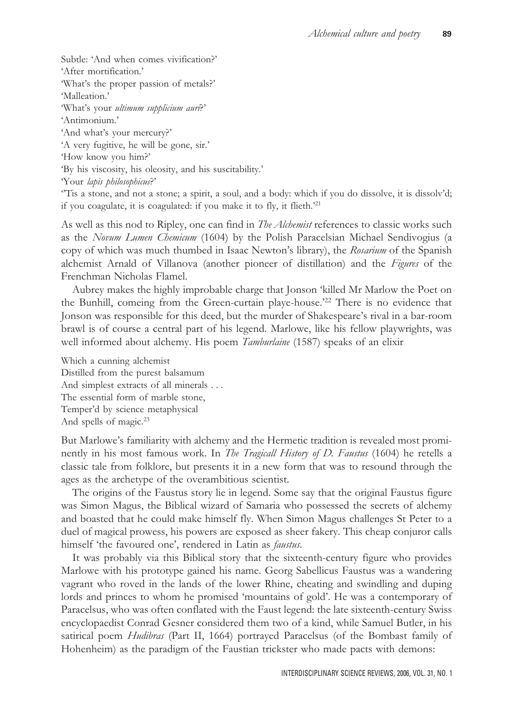Subtle: 'And when comes vivification?' 'After mortification.' 'What's the proper passion of metals?' 'Malleation.' 'What's your *ultimum supplicium auri*?' 'Antimonium.' 'And what's your mercury?' 'A very fugitive, he will be gone, sir.' 'How know you him?' 'By his viscosity, his oleosity, and his suscitability.' 'Your *lapis philosophicus*?' ''Tis a stone, and not a stone; a spirit, a soul, and a body: which if you do dissolve, it is dissolv'd; if you coagulate, it is coagulated: if you make it to fly, it flieth.'21

As well as this nod to Ripley, one can find in *The Alchemist* references to classic works such as the *Novum Lumen Chemicum* (1604) by the Polish Paracelsian Michael Sendivogius (a copy of which was much thumbed in Isaac Newton's library), the *Rosarium* of the Spanish alchemist Arnald of Villanova (another pioneer of distillation) and the *Figures* of the Frenchman Nicholas Flamel.

Aubrey makes the highly improbable charge that Jonson 'killed Mr Marlow the Poet on the Bunhill, comeing from the Green-curtain playe-house.'22 There is no evidence that Jonson was responsible for this deed, but the murder of Shakespeare's rival in a bar-room brawl is of course a central part of his legend. Marlowe, like his fellow playwrights, was well informed about alchemy. His poem *Tamburlaine* (1587) speaks of an elixir

Which a cunning alchemist Distilled from the purest balsamum And simplest extracts of all minerals . . . The essential form of marble stone, Temper'd by science metaphysical And spells of magic.<sup>23</sup>

But Marlowe's familiarity with alchemy and the Hermetic tradition is revealed most prominently in his most famous work. In *The Tragicall History of D. Faustus* (1604) he retells a classic tale from folklore, but presents it in a new form that was to resound through the ages as the archetype of the overambitious scientist.

The origins of the Faustus story lie in legend. Some say that the original Faustus figure was Simon Magus, the Biblical wizard of Samaria who possessed the secrets of alchemy and boasted that he could make himself fly. When Simon Magus challenges St Peter to a duel of magical prowess, his powers are exposed as sheer fakery. This cheap conjuror calls himself 'the favoured one', rendered in Latin as *faustus*.

It was probably via this Biblical story that the sixteenth-century figure who provides Marlowe with his prototype gained his name. Georg Sabellicus Faustus was a wandering vagrant who roved in the lands of the lower Rhine, cheating and swindling and duping lords and princes to whom he promised 'mountains of gold'. He was a contemporary of Paracelsus, who was often conflated with the Faust legend: the late sixteenth-century Swiss encyclopaedist Conrad Gesner considered them two of a kind, while Samuel Butler, in his satirical poem *Hudibras* (Part II, 1664) portrayed Paracelsus (of the Bombast family of Hohenheim) as the paradigm of the Faustian trickster who made pacts with demons: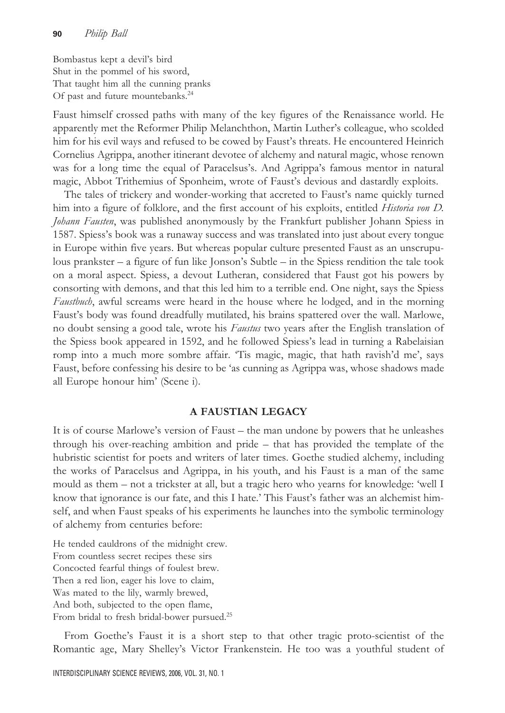Bombastus kept a devil's bird Shut in the pommel of his sword, That taught him all the cunning pranks Of past and future mountebanks.<sup>24</sup>

Faust himself crossed paths with many of the key figures of the Renaissance world. He apparently met the Reformer Philip Melanchthon, Martin Luther's colleague, who scolded him for his evil ways and refused to be cowed by Faust's threats. He encountered Heinrich Cornelius Agrippa, another itinerant devotee of alchemy and natural magic, whose renown was for a long time the equal of Paracelsus's. And Agrippa's famous mentor in natural magic, Abbot Trithemius of Sponheim, wrote of Faust's devious and dastardly exploits.

The tales of trickery and wonder-working that accreted to Faust's name quickly turned him into a figure of folklore, and the first account of his exploits, entitled *Historia von D. Johann Fausten*, was published anonymously by the Frankfurt publisher Johann Spiess in 1587. Spiess's book was a runaway success and was translated into just about every tongue in Europe within five years. But whereas popular culture presented Faust as an unscrupulous prankster – a figure of fun like Jonson's Subtle – in the Spiess rendition the tale took on a moral aspect. Spiess, a devout Lutheran, considered that Faust got his powers by consorting with demons, and that this led him to a terrible end. One night, says the Spiess *Faustbuch*, awful screams were heard in the house where he lodged, and in the morning Faust's body was found dreadfully mutilated, his brains spattered over the wall. Marlowe, no doubt sensing a good tale, wrote his *Faustus* two years after the English translation of the Spiess book appeared in 1592, and he followed Spiess's lead in turning a Rabelaisian romp into a much more sombre affair. 'Tis magic, magic, that hath ravish'd me', says Faust, before confessing his desire to be 'as cunning as Agrippa was, whose shadows made all Europe honour him' (Scene i).

# **A FAUSTIAN LEGACY**

It is of course Marlowe's version of Faust – the man undone by powers that he unleashes through his over-reaching ambition and pride – that has provided the template of the hubristic scientist for poets and writers of later times. Goethe studied alchemy, including the works of Paracelsus and Agrippa, in his youth, and his Faust is a man of the same mould as them – not a trickster at all, but a tragic hero who yearns for knowledge: 'well I know that ignorance is our fate, and this I hate.' This Faust's father was an alchemist himself, and when Faust speaks of his experiments he launches into the symbolic terminology of alchemy from centuries before:

He tended cauldrons of the midnight crew. From countless secret recipes these sirs Concocted fearful things of foulest brew. Then a red lion, eager his love to claim, Was mated to the lily, warmly brewed, And both, subjected to the open flame, From bridal to fresh bridal-bower pursued.25

From Goethe's Faust it is a short step to that other tragic proto-scientist of the Romantic age, Mary Shelley's Victor Frankenstein. He too was a youthful student of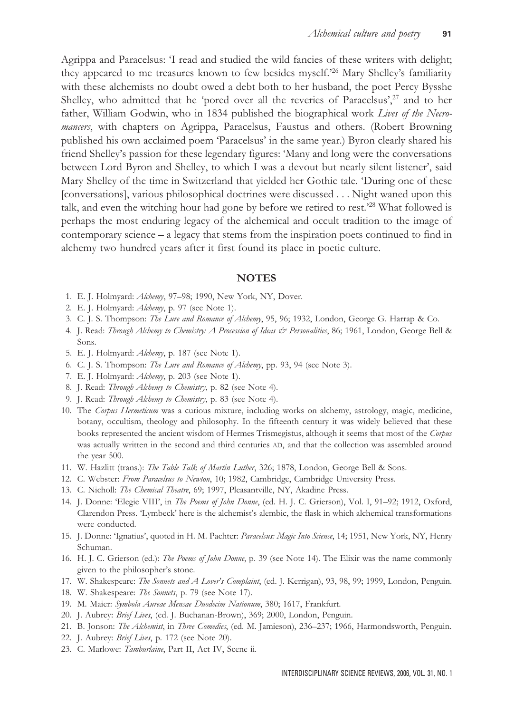Agrippa and Paracelsus: 'I read and studied the wild fancies of these writers with delight; they appeared to me treasures known to few besides myself.'26 Mary Shelley's familiarity with these alchemists no doubt owed a debt both to her husband, the poet Percy Bysshe Shelley, who admitted that he 'pored over all the reveries of Paracelsus', $27$  and to her father, William Godwin, who in 1834 published the biographical work *Lives of the Necromancers*, with chapters on Agrippa, Paracelsus, Faustus and others. (Robert Browning published his own acclaimed poem 'Paracelsus' in the same year.) Byron clearly shared his friend Shelley's passion for these legendary figures: 'Many and long were the conversations between Lord Byron and Shelley, to which I was a devout but nearly silent listener', said Mary Shelley of the time in Switzerland that yielded her Gothic tale. 'During one of these [conversations], various philosophical doctrines were discussed . . . Night waned upon this talk, and even the witching hour had gone by before we retired to rest.'28 What followed is perhaps the most enduring legacy of the alchemical and occult tradition to the image of contemporary science – a legacy that stems from the inspiration poets continued to find in alchemy two hundred years after it first found its place in poetic culture.

#### **NOTES**

- 1. E. J. Holmyard: *Alchemy*, 97–98; 1990, New York, NY, Dover.
- 2. E. J. Holmyard: *Alchemy*, p. 97 (see Note 1).
- 3. C. J. S. Thompson: *The Lure and Romance of Alchemy*, 95, 96; 1932, London, George G. Harrap & Co.
- 4. J. Read: *Through Alchemy to Chemistry: A Procession of Ideas & Personalities*, 86; 1961, London, George Bell & Sons.
- 5. E. J. Holmyard: *Alchemy*, p. 187 (see Note 1).
- 6. C. J. S. Thompson: *The Lure and Romance of Alchemy*, pp. 93, 94 (see Note 3).
- 7. E. J. Holmyard: *Alchemy*, p. 203 (see Note 1).
- 8. J. Read: *Through Alchemy to Chemistry*, p. 82 (see Note 4).
- 9. J. Read: *Through Alchemy to Chemistry*, p. 83 (see Note 4).
- 10. The *Corpus Hermeticum* was a curious mixture, including works on alchemy, astrology, magic, medicine, botany, occultism, theology and philosophy. In the fifteenth century it was widely believed that these books represented the ancient wisdom of Hermes Trismegistus, although it seems that most of the *Corpus* was actually written in the second and third centuries AD, and that the collection was assembled around the year 500.
- 11. W. Hazlitt (trans.): *The Table Talk of Martin Luther*, 326; 1878, London, George Bell & Sons.
- 12. C. Webster: *From Paracelsus to Newton*, 10; 1982, Cambridge, Cambridge University Press.
- 13. C. Nicholl: *The Chemical Theatre*, 69; 1997, Pleasantville, NY, Akadine Press.
- 14. J. Donne: 'Elegie VIII', in *The Poems of John Donne*, (ed. H. J. C. Grierson), Vol. I, 91–92; 1912, Oxford, Clarendon Press. 'Lymbeck' here is the alchemist's alembic, the flask in which alchemical transformations were conducted.
- 15. J. Donne: 'Ignatius', quoted in H. M. Pachter: *Paracelsus: Magic Into Science*, 14; 1951, New York, NY, Henry Schuman.
- 16. H. J. C. Grierson (ed.): *The Poems of John Donne*, p. 39 (see Note 14). The Elixir was the name commonly given to the philosopher's stone.
- 17. W. Shakespeare: *The Sonnets and A Lover's Complaint*, (ed. J. Kerrigan), 93, 98, 99; 1999, London, Penguin.
- 18. W. Shakespeare: *The Sonnets*, p. 79 (see Note 17).
- 19. M. Maier: *Symbola Aureae Mensae Duodecim Nationum*, 380; 1617, Frankfurt.
- 20. J. Aubrey: *Brief Lives*, (ed. J. Buchanan-Brown), 369; 2000, London, Penguin.
- 21. B. Jonson: *The Alchemist*, in *Three Comedies*, (ed. M. Jamieson), 236–237; 1966, Harmondsworth, Penguin.
- 22. J. Aubrey: *Brief Lives*, p. 172 (see Note 20).
- 23. C. Marlowe: *Tamburlaine*, Part II, Act IV, Scene ii.